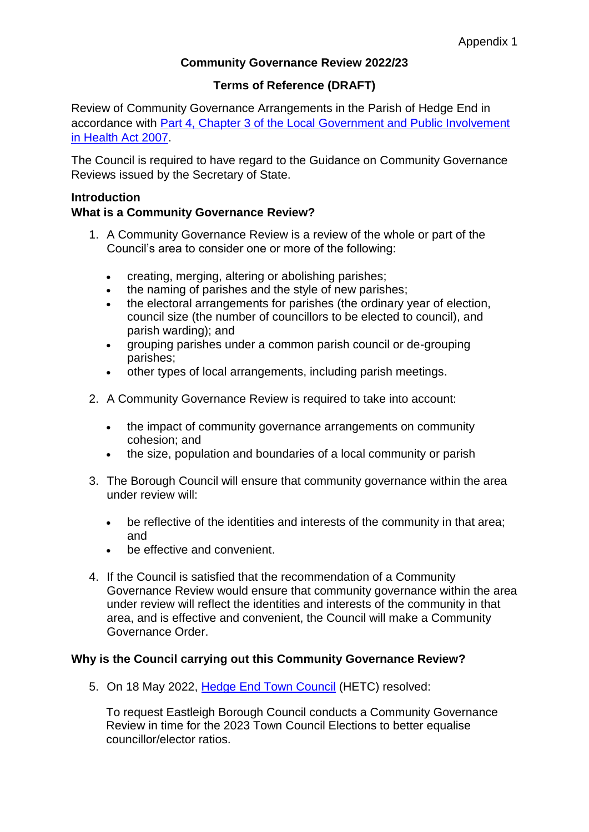# **Community Governance Review 2022/23**

# **Terms of Reference (DRAFT)**

Review of Community Governance Arrangements in the Parish of Hedge End in accordance with [Part 4, Chapter 3 of the Local Government and Public Involvement](https://www.legislation.gov.uk/ukpga/2007/28/part/4)  [in Health Act 2007.](https://www.legislation.gov.uk/ukpga/2007/28/part/4)

The Council is required to have regard to the Guidance on Community Governance Reviews issued by the Secretary of State.

## **Introduction**

## **What is a Community Governance Review?**

- 1. A Community Governance Review is a review of the whole or part of the Council's area to consider one or more of the following:
	- creating, merging, altering or abolishing parishes;
	- the naming of parishes and the style of new parishes;
	- the electoral arrangements for parishes (the ordinary year of election, council size (the number of councillors to be elected to council), and parish warding); and
	- grouping parishes under a common parish council or de-grouping parishes;
	- other types of local arrangements, including parish meetings.
- 2. A Community Governance Review is required to take into account:
	- the impact of community governance arrangements on community cohesion; and
	- the size, population and boundaries of a local community or parish
- 3. The Borough Council will ensure that community governance within the area under review will:
	- be reflective of the identities and interests of the community in that area; and
	- be effective and convenient.
- 4. If the Council is satisfied that the recommendation of a Community Governance Review would ensure that community governance within the area under review will reflect the identities and interests of the community in that area, and is effective and convenient, the Council will make a Community Governance Order.

#### **Why is the Council carrying out this Community Governance Review?**

5. On 18 May 2022, [Hedge End Town Council](https://www.hedgeend-tc.gov.uk/the-council/meetings/full-council/) (HETC) resolved:

To request Eastleigh Borough Council conducts a Community Governance Review in time for the 2023 Town Council Elections to better equalise councillor/elector ratios.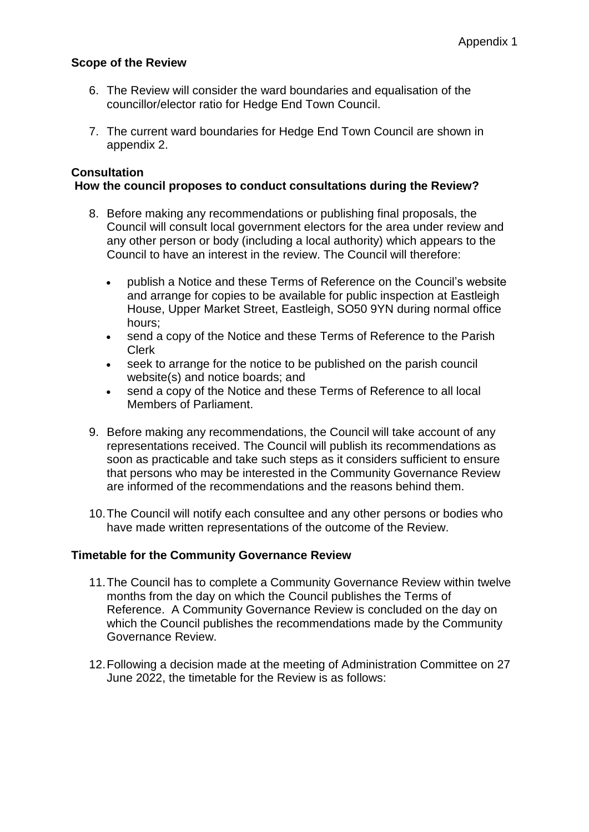#### **Scope of the Review**

- 6. The Review will consider the ward boundaries and equalisation of the councillor/elector ratio for Hedge End Town Council.
- 7. The current ward boundaries for Hedge End Town Council are shown in appendix 2.

## **Consultation**

#### **How the council proposes to conduct consultations during the Review?**

- 8. Before making any recommendations or publishing final proposals, the Council will consult local government electors for the area under review and any other person or body (including a local authority) which appears to the Council to have an interest in the review. The Council will therefore:
	- publish a Notice and these Terms of Reference on the Council's website and arrange for copies to be available for public inspection at Eastleigh House, Upper Market Street, Eastleigh, SO50 9YN during normal office hours;
	- send a copy of the Notice and these Terms of Reference to the Parish Clerk
	- seek to arrange for the notice to be published on the parish council website(s) and notice boards; and
	- send a copy of the Notice and these Terms of Reference to all local Members of Parliament.
- 9. Before making any recommendations, the Council will take account of any representations received. The Council will publish its recommendations as soon as practicable and take such steps as it considers sufficient to ensure that persons who may be interested in the Community Governance Review are informed of the recommendations and the reasons behind them.
- 10.The Council will notify each consultee and any other persons or bodies who have made written representations of the outcome of the Review.

#### **Timetable for the Community Governance Review**

- 11.The Council has to complete a Community Governance Review within twelve months from the day on which the Council publishes the Terms of Reference. A Community Governance Review is concluded on the day on which the Council publishes the recommendations made by the Community Governance Review.
- 12.Following a decision made at the meeting of Administration Committee on 27 June 2022, the timetable for the Review is as follows: